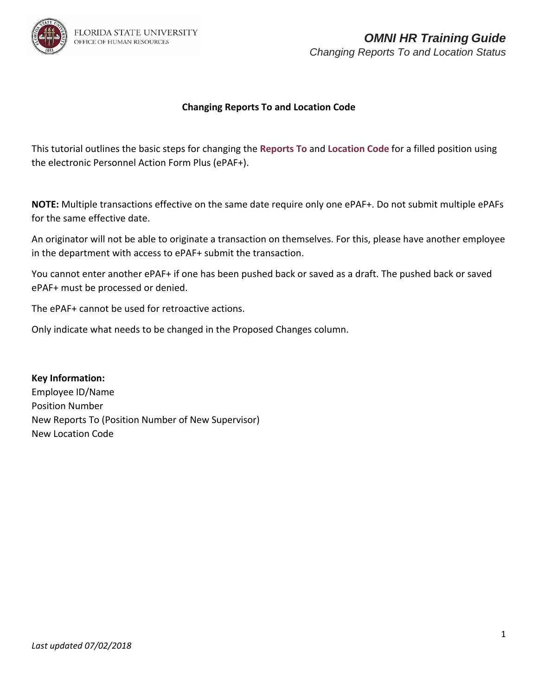

#### **Changing Reports To and Location Code**

This tutorial outlines the basic steps for changing the **Reports To** and **Location Code** for a filled position using the electronic Personnel Action Form Plus (ePAF+).

**NOTE:** Multiple transactions effective on the same date require only one ePAF+. Do not submit multiple ePAFs for the same effective date.

An originator will not be able to originate a transaction on themselves. For this, please have another employee in the department with access to ePAF+ submit the transaction.

You cannot enter another ePAF+ if one has been pushed back or saved as a draft. The pushed back or saved ePAF+ must be processed or denied.

The ePAF+ cannot be used for retroactive actions.

Only indicate what needs to be changed in the Proposed Changes column.

**Key Information:**  Employee ID/Name Position Number New Reports To (Position Number of New Supervisor) New Location Code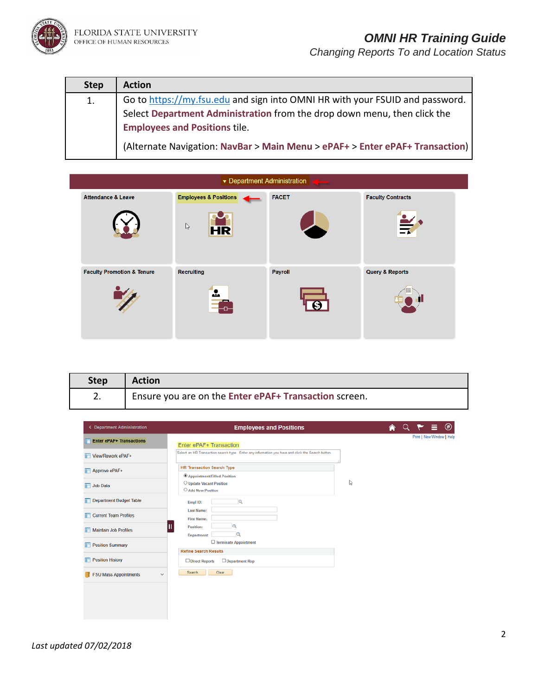

*Changing Reports To and Location Status*

| <b>Step</b> | <b>Action</b>                                                                |
|-------------|------------------------------------------------------------------------------|
| 1.          | Go to https://my.fsu.edu and sign into OMNI HR with your FSUID and password. |
|             | Select Department Administration from the drop down menu, then click the     |
|             | <b>Employees and Positions tile.</b>                                         |
|             | (Alternate Navigation: NavBar > Main Menu > ePAF+ > Enter ePAF+ Transaction) |

|                                       | ▼ Department Administration      |                |                            |
|---------------------------------------|----------------------------------|----------------|----------------------------|
| <b>Attendance &amp; Leave</b>         | <b>Employees &amp; Positions</b> | <b>FACET</b>   | <b>Faculty Contracts</b>   |
|                                       | $\mathbb{P}$<br><b>HR</b>        |                | $\overline{\phantom{a}}$   |
| <b>Faculty Promotion &amp; Tenure</b> | <b>Recruiting</b>                | <b>Payroll</b> | <b>Query &amp; Reports</b> |
|                                       | Δ.                               |                |                            |

| <b>Step</b> | <b>Action</b>                                         |
|-------------|-------------------------------------------------------|
| z.          | Ensure you are on the Enter ePAF+ Transaction screen. |

| <b>&lt; Department Administration</b>        | <b>Employees and Positions</b>                                                                    |   | ◉                         |
|----------------------------------------------|---------------------------------------------------------------------------------------------------|---|---------------------------|
| <b>Enter ePAF+ Transactions</b>              | Enter ePAF+ Transaction                                                                           |   | Print   New Window   Help |
| View/Rework ePAF+                            | Select an HR Transaction search type. Enter any information you have and click the Search button. |   |                           |
| Approve ePAF+                                | <b>HR Transaction Search Type</b>                                                                 |   |                           |
| <b>T</b> Job Data                            | <sup>4</sup> Appointment/Filled Position<br>O Update Vacant Position<br>O Add New Position        | ↳ |                           |
| <b>Department Budget Table</b><br>m          | 1Q.<br>Empl ID:                                                                                   |   |                           |
| <b>Current Team Profiles</b>                 | <b>Last Name:</b><br><b>First Name:</b>                                                           |   |                           |
| <b>Maintain Job Profiles</b><br>н            | a<br>Position:<br>Department:                                                                     |   |                           |
| <b>Position Summary</b><br>m                 | □ Terminate Appointment                                                                           |   |                           |
| <b>Position History</b><br>Ħ                 | <b>Refine Search Results</b><br>Direct Reports<br>Department Rep                                  |   |                           |
| <b>FSU Mass Appointments</b><br>$\checkmark$ | Search<br>Clear                                                                                   |   |                           |
|                                              |                                                                                                   |   |                           |
|                                              |                                                                                                   |   |                           |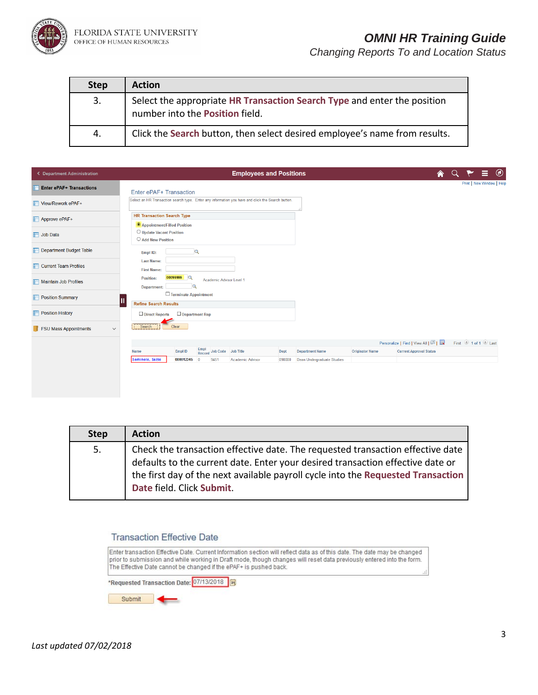

# *OMNI HR Training Guide*

*Changing Reports To and Location Status*

| <b>Step</b> | <b>Action</b>                                                                                               |
|-------------|-------------------------------------------------------------------------------------------------------------|
| 3.          | Select the appropriate HR Transaction Search Type and enter the position<br>number into the Position field. |
| 4.          | Click the Search button, then select desired employee's name from results.                                  |

| < Department Administration                  | <b>Employees and Positions</b>                                                                                                                            | 合 | $^{\circledR}$            |
|----------------------------------------------|-----------------------------------------------------------------------------------------------------------------------------------------------------------|---|---------------------------|
| <b>Enter ePAF+ Transactions</b>              | Enter ePAF+ Transaction                                                                                                                                   |   | Print   New Window   Help |
| View/Rework ePAF+                            | Select an HR Transaction search type. Enter any information you have and click the Search button.                                                         |   |                           |
| Approve ePAF+                                | <b>HR Transaction Search Type</b><br>Appointment/Filled Position                                                                                          |   |                           |
| <b>T</b> Job Data                            | O Update Vacant Position<br>○ Add New Position                                                                                                            |   |                           |
| Department Budget Table                      | $\alpha$<br>Empl ID:                                                                                                                                      |   |                           |
| Current Team Profiles                        | <b>Last Name:</b><br><b>First Name:</b>                                                                                                                   |   |                           |
| Maintain Job Profiles                        | 00099999<br>Position:<br>Academic Advisor Level 1<br>Q<br>Department:                                                                                     |   |                           |
| <b>Position Summary</b>                      | Terminate Appointment<br>Ш<br><b>Refine Search Results</b>                                                                                                |   |                           |
| <b>Position History</b>                      | $\Box$ Department Rep<br>Direct Reports<br>⊂                                                                                                              |   |                           |
| <b>FSU Mass Appointments</b><br>$\checkmark$ | Clear<br>Search                                                                                                                                           |   |                           |
|                                              | Personalize   Find   View All   2                                                                                                                         |   | First 1 of 1 Last         |
|                                              | Empl<br>Record Job Code Job Title<br>Empl ID<br><b>Department Name</b><br><b>Originator Name</b><br><b>Current Approval Status</b><br><b>Name</b><br>Dept |   |                           |
|                                              | Seminole, Suzie<br>000012345<br>9451<br>Academic Advisor<br>098000<br>Dean Undergraduate Studies<br>$\Omega$                                              |   |                           |
|                                              |                                                                                                                                                           |   |                           |

| <b>Step</b> | <b>Action</b>                                                                                                                                                                                                                                                                       |
|-------------|-------------------------------------------------------------------------------------------------------------------------------------------------------------------------------------------------------------------------------------------------------------------------------------|
| 5.          | Check the transaction effective date. The requested transaction effective date<br>defaults to the current date. Enter your desired transaction effective date or<br>the first day of the next available payroll cycle into the Requested Transaction  <br>Date field. Click Submit. |

#### **Transaction Effective Date**

| Enter transaction Effective Date, Current Information section will reflect data as of this date. The date may be changed<br>prior to submission and while working in Draft mode, though changes will reset data previously entered into the form.<br>The Effective Date cannot be changed if the ePAF+ is pushed back. | al. |
|------------------------------------------------------------------------------------------------------------------------------------------------------------------------------------------------------------------------------------------------------------------------------------------------------------------------|-----|
| *Requested Transaction Date: 07/13/2018   3                                                                                                                                                                                                                                                                            |     |
| Submit                                                                                                                                                                                                                                                                                                                 |     |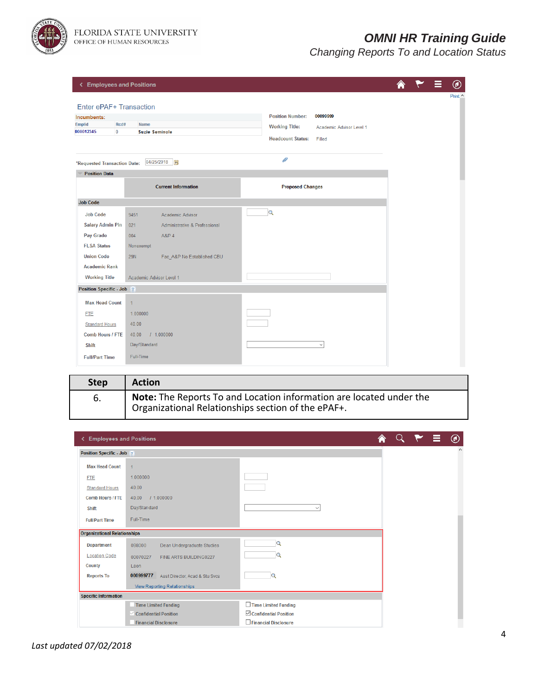

FLORIDA STATE UNIVERSITY<br>office of human resources

## *OMNI HR Training Guide*

*Changing Reports To and Location Status*

| <b>K</b> Employees and Positions |                                          |                                                   |  | Ε | $^\copyright$  |
|----------------------------------|------------------------------------------|---------------------------------------------------|--|---|----------------|
|                                  |                                          |                                                   |  |   | Print $\wedge$ |
| Enter ePAF+ Transaction          |                                          |                                                   |  |   |                |
| Incumbents:<br>Emplid<br>Rcd#    | Name                                     | <b>Position Number:</b><br>00099999               |  |   |                |
| $\overline{0}$<br>000012345      | <b>Suzie Seminole</b>                    | <b>Working Title:</b><br>Academic Advisor Level 1 |  |   |                |
|                                  |                                          | <b>Headcount Status:</b><br>Filled                |  |   |                |
| *Requested Transaction Date:     | 04/25/2018<br> H                         | P                                                 |  |   |                |
| <b>Position Data</b>             |                                          |                                                   |  |   |                |
|                                  | <b>Current Information</b>               | <b>Proposed Changes</b>                           |  |   |                |
| <b>Job Code</b>                  |                                          |                                                   |  |   |                |
| <b>Job Code</b>                  | 9451<br>Academic Advisor                 | $\alpha$                                          |  |   |                |
| <b>Salary Admin Pln</b>          | Administrative & Professional<br>021     |                                                   |  |   |                |
| Pay Grade                        | 004<br>A&P 4                             |                                                   |  |   |                |
| <b>FLSA Status</b>               | Nonexempt                                |                                                   |  |   |                |
| <b>Union Code</b>                | Fac_A&P No Established CBU<br><b>29N</b> |                                                   |  |   |                |
| <b>Academic Rank</b>             |                                          |                                                   |  |   |                |
| <b>Working Title</b>             | Academic Advisor Level 1                 |                                                   |  |   |                |
| Position Specific - Job ?        |                                          |                                                   |  |   |                |
| <b>Max Head Count</b>            | $\mathbf{1}$                             |                                                   |  |   |                |
| <b>FTE</b>                       | 1.000000                                 |                                                   |  |   |                |
| <b>Standard Hours</b>            | 40.00                                    |                                                   |  |   |                |
| <b>Comb Hours / FTE</b>          | 40.00<br>1.000000                        |                                                   |  |   |                |
| Shift                            | Day/Standard                             | $\checkmark$                                      |  |   |                |
| <b>Full/Part Time</b>            | Full-Time                                |                                                   |  |   |                |

| Step | <b>Action</b>                                                                                                             |
|------|---------------------------------------------------------------------------------------------------------------------------|
| 6.   | Note: The Reports To and Location information are located under the<br>Organizational Relationships section of the ePAF+. |

| <b>Employees and Positions</b><br>≺ |                                             |                                |  |  | ◉         |
|-------------------------------------|---------------------------------------------|--------------------------------|--|--|-----------|
| Position Specific - Job             |                                             |                                |  |  | $\lambda$ |
| <b>Max Head Count</b>               | $\overline{1}$                              |                                |  |  |           |
| <b>FTE</b>                          | 1.000000                                    |                                |  |  |           |
| <b>Standard Hours</b>               | 40.00                                       |                                |  |  |           |
| <b>Comb Hours / FTE</b>             | 40.00<br>1.000000                           |                                |  |  |           |
| <b>Shift</b>                        | Day/Standard                                | $\checkmark$                   |  |  |           |
| <b>Full/Part Time</b>               | Full-Time                                   |                                |  |  |           |
| <b>Organizational Relationships</b> |                                             |                                |  |  |           |
| <b>Department</b>                   | Dean Undergraduate Studies<br>098000        | $\mathbf Q$                    |  |  |           |
| <b>Location Code</b>                | 00070227<br>FINE ARTS BUILDING0227          | Q                              |  |  |           |
| <b>County</b>                       | Leon                                        |                                |  |  |           |
| <b>Reports To</b>                   | 000999777<br>Asst Director, Acad & Stu Svcs | $\alpha$                       |  |  |           |
|                                     | <b>View Reporting Relationships</b>         |                                |  |  |           |
| <b>Specific Information</b>         |                                             |                                |  |  |           |
|                                     | <b>Time Limited Funding</b>                 | Time Limited Funding           |  |  |           |
|                                     | $\vee$ Confidential Position                | <b>⊡</b> Confidential Position |  |  |           |
|                                     | <b>Financial Disclosure</b>                 | Financial Disclosure           |  |  |           |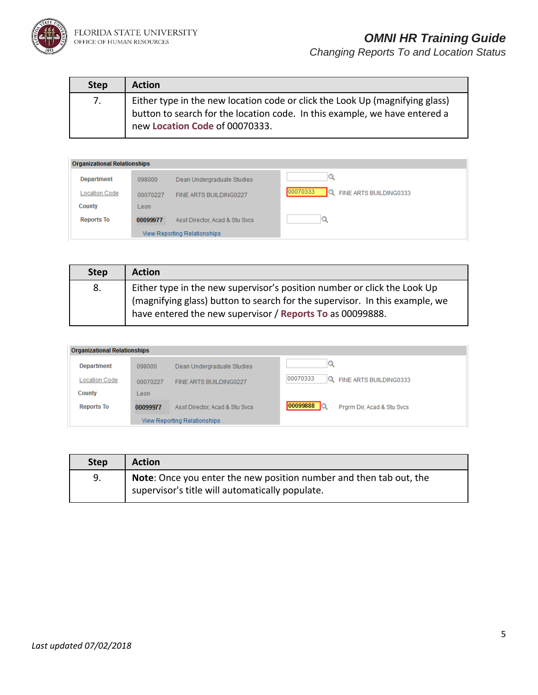

## *OMNI HR Training Guide*

*Changing Reports To and Location Status*

| <b>Step</b> | <b>Action</b>                                                                                                                                                                                |
|-------------|----------------------------------------------------------------------------------------------------------------------------------------------------------------------------------------------|
| 7.          | Either type in the new location code or click the Look Up (magnifying glass)<br>button to search for the location code. In this example, we have entered a<br>new Location Code of 00070333. |

| <b>Organizational Relationships</b> |          |                                     |                                    |
|-------------------------------------|----------|-------------------------------------|------------------------------------|
| <b>Department</b>                   | 098000   | Dean Undergraduate Studies          |                                    |
| <b>Location Code</b>                | 00070227 | FINE ARTS BUILDING0227              | 00070333<br>FINE ARTS BUILDING0333 |
| County                              | Leon     |                                     |                                    |
| <b>Reports To</b>                   | 00099977 | Asst Director, Acad & Stu Svcs      |                                    |
|                                     |          | <b>View Reporting Relationships</b> |                                    |

| <b>Step</b> | <b>Action</b>                                                                                                                                                                                                        |
|-------------|----------------------------------------------------------------------------------------------------------------------------------------------------------------------------------------------------------------------|
| 8.          | Either type in the new supervisor's position number or click the Look Up<br>(magnifying glass) button to search for the supervisor. In this example, we<br>have entered the new supervisor / Reports To as 00099888. |

| <b>Organizational Relationships</b> |          |                                     |                                                   |
|-------------------------------------|----------|-------------------------------------|---------------------------------------------------|
| <b>Department</b>                   | 098000   | Dean Undergraduate Studies          |                                                   |
| Location Code                       | 00070227 | FINE ARTS BUILDING0227              | 00070333<br>FINE ARTS BUILDING0333<br>Q           |
| County                              | Leon     |                                     |                                                   |
| <b>Reports To</b>                   | 00099977 | Asst Director, Acad & Stu Svcs      | $00099888$ $\alpha$<br>Prgrm Dir, Acad & Stu Svcs |
|                                     |          | <b>View Reporting Relationships</b> |                                                   |

| <b>Step</b> | <b>Action</b>                                                      |
|-------------|--------------------------------------------------------------------|
| 9.          | Note: Once you enter the new position number and then tab out, the |
|             | supervisor's title will automatically populate.                    |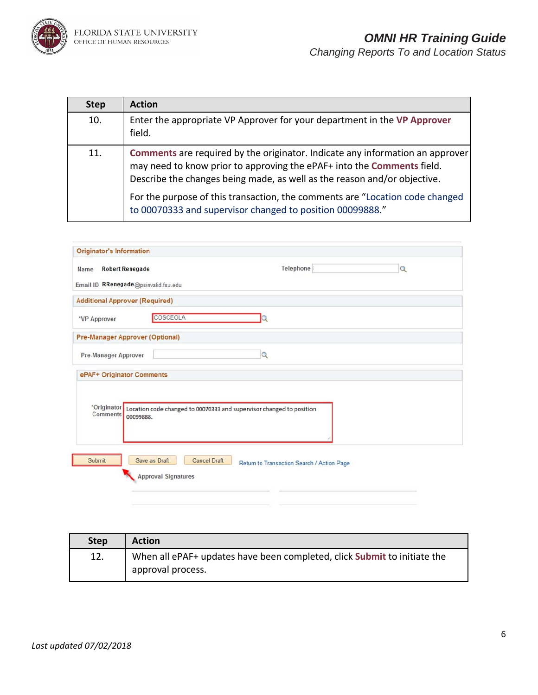

| <b>Step</b> | <b>Action</b>                                                                                                                                                                                                                       |
|-------------|-------------------------------------------------------------------------------------------------------------------------------------------------------------------------------------------------------------------------------------|
| 10.         | Enter the appropriate VP Approver for your department in the VP Approver<br>field.                                                                                                                                                  |
| 11.         | Comments are required by the originator. Indicate any information an approver<br>may need to know prior to approving the ePAF+ into the Comments field.<br>Describe the changes being made, as well as the reason and/or objective. |
|             | For the purpose of this transaction, the comments are "Location code changed<br>to 00070333 and supervisor changed to position 00099888."                                                                                           |

| <b>Originator's Information</b> |                                                                    |                                                                      |          |
|---------------------------------|--------------------------------------------------------------------|----------------------------------------------------------------------|----------|
| Name                            | <b>Robert Renegade</b><br>Email ID RRenegade@psinvalid.fsu.edu     | Telephone                                                            | $\alpha$ |
|                                 | <b>Additional Approver (Required)</b>                              |                                                                      |          |
| *VP Approver                    | COSCEOLA                                                           |                                                                      |          |
|                                 | <b>Pre-Manager Approver (Optional)</b>                             |                                                                      |          |
| <b>Pre-Manager Approver</b>     |                                                                    | $\Omega$                                                             |          |
| ePAF+ Originator Comments       |                                                                    |                                                                      |          |
| *Originator<br><b>Comments</b>  | 00099888.                                                          | Location code changed to 00070333 and supervisor changed to position |          |
| Submit                          | Save as Draft<br><b>Cancel Draft</b><br><b>Approval Signatures</b> | Return to Transaction Search / Action Page                           |          |

| <b>Step</b> | <b>Action</b>                                                                                 |
|-------------|-----------------------------------------------------------------------------------------------|
| 12.         | When all ePAF+ updates have been completed, click Submit to initiate the<br>approval process. |